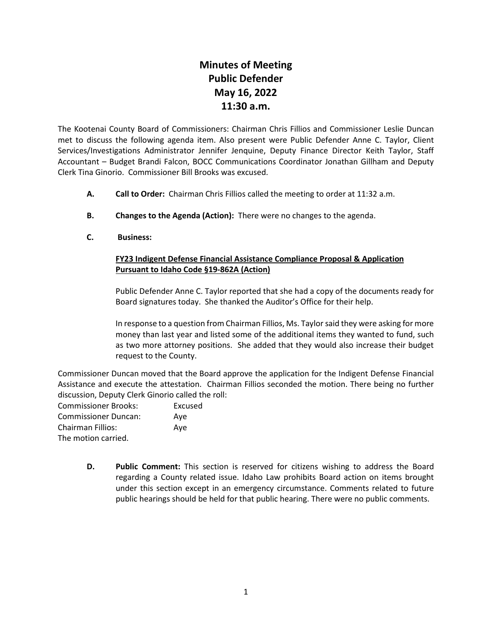## **Minutes of Meeting Public Defender May 16, 2022 11:30 a.m.**

The Kootenai County Board of Commissioners: Chairman Chris Fillios and Commissioner Leslie Duncan met to discuss the following agenda item. Also present were Public Defender Anne C. Taylor, Client Services/Investigations Administrator Jennifer Jenquine, Deputy Finance Director Keith Taylor, Staff Accountant – Budget Brandi Falcon, BOCC Communications Coordinator Jonathan Gillham and Deputy Clerk Tina Ginorio. Commissioner Bill Brooks was excused.

- **A. Call to Order:** Chairman Chris Fillios called the meeting to order at 11:32 a.m.
- **B. Changes to the Agenda (Action):** There were no changes to the agenda.
- **C. Business:**

## **FY23 Indigent Defense Financial Assistance Compliance Proposal & Application Pursuant to Idaho Code §19-862A (Action)**

Public Defender Anne C. Taylor reported that she had a copy of the documents ready for Board signatures today. She thanked the Auditor's Office for their help.

In response to a question from Chairman Fillios, Ms. Taylor said they were asking for more money than last year and listed some of the additional items they wanted to fund, such as two more attorney positions. She added that they would also increase their budget request to the County.

Commissioner Duncan moved that the Board approve the application for the Indigent Defense Financial Assistance and execute the attestation. Chairman Fillios seconded the motion. There being no further discussion, Deputy Clerk Ginorio called the roll:

| <b>Commissioner Brooks:</b> | Excused |
|-----------------------------|---------|
|                             |         |
| <b>Commissioner Duncan:</b> | Ave     |
| <b>Chairman Fillios:</b>    | Ave     |
| The motion carried.         |         |

**D. Public Comment:** This section is reserved for citizens wishing to address the Board regarding a County related issue. Idaho Law prohibits Board action on items brought under this section except in an emergency circumstance. Comments related to future public hearings should be held for that public hearing. There were no public comments.